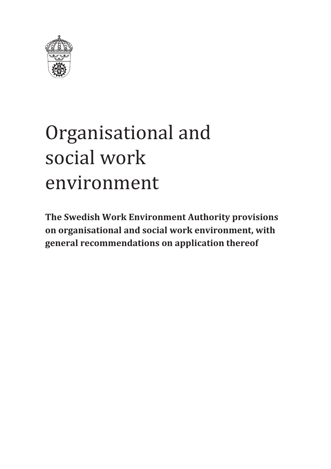

# Organisational and social work environment

**The Swedish Work Environment Authority provisions on organisational and social work environment, with general recommendations on application thereof**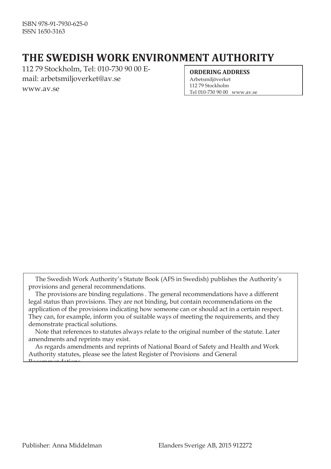# **THE SWEDISH WORK ENVIRONMENT AUTHORITY**

112 79 Stockholm, Tel: 010-730 90 00 Email[: arbetsmiljoverket@av.se](mailto:arbetsmiljoverket@av.se) [www.av.se](http://www.av.se/)

#### **ORDERING ADDRESS**

Arbetsmiljöverket 112 79 Stockholm Tel 010-730 90 00 [www.av.se](http://www.av.se/)

The Swedish Work Authority's Statute Book (AFS in Swedish) publishes the Authority's provisions and general recommendations.

The provisions are binding regulations . The general recommendations have a different legal status than provisions. They are not binding, but contain recommendations on the application of the provisions indicating how someone can or should act in a certain respect. They can, for example, inform you of suitable ways of meeting the requirements, and they demonstrate practical solutions.

Note that references to statutes always relate to the original number of the statute. Later amendments and reprints may exist.

As regards amendments and reprints of National Board of Safety and Health and Work Authority statutes, please see the latest Register of Provisions and General

Recommendations.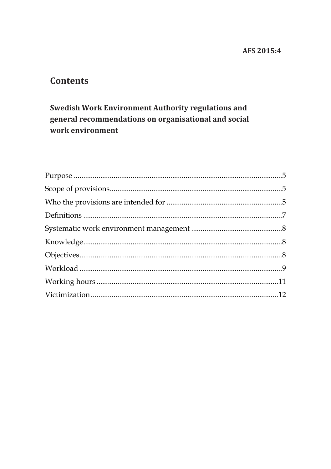#### AFS 2015:4

#### **Contents**

#### Swedish Work Environment Authority regulations and general recommendations on organisational and social work environment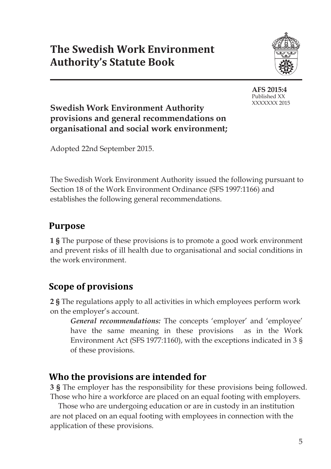

**AFS 2015:4** Published XX XXXXXXX 2015

#### **Swedish Work Environment Authority provisions and general recommendations on organisational and social work environment;**

Adopted 22nd September 2015.

The Swedish Work Environment Authority issued the following pursuant to Section 18 of the Work Environment Ordinance (SFS 1997:1166) and establishes the following general recommendations.

# <span id="page-4-0"></span>**Purpose**

**1 §** The purpose of these provisions is to promote a good work environment and prevent risks of ill health due to organisational and social conditions in the work environment.

## <span id="page-4-1"></span>**Scope of provisions**

**2 §** The regulations apply to all activities in which employees perform work on the employer's account.

*General recommendations:* The concepts 'employer' and 'employee' have the same meaning in these provisions as in the Work Environment Act (SFS 1977:1160), with the exceptions indicated in 3 § of these provisions.

## <span id="page-4-2"></span>**Who the provisions are intended for**

**3 §** The employer has the responsibility for these provisions being followed. Those who hire a workforce are placed on an equal footing with employers.

Those who are undergoing education or are in custody in an institution are not placed on an equal footing with employees in connection with the application of these provisions.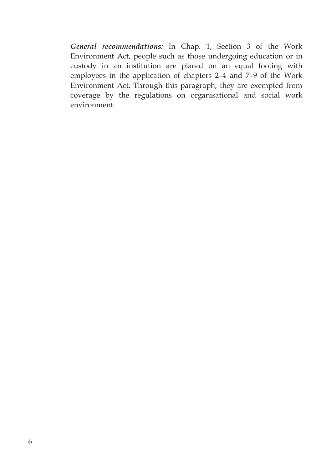*General recommendations:* In Chap. 1, Section 3 of the Work Environment Act, people such as those undergoing education or in custody in an institution are placed on an equal footing with employees in the application of chapters 2–4 and 7–9 of the Work Environment Act. Through this paragraph, they are exempted from coverage by the regulations on organisational and social work environment.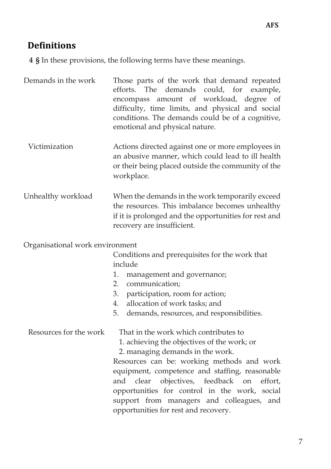#### <span id="page-6-0"></span>**Definitions**

**4 §** In these provisions, the following terms have these meanings.

Demands in the work Those parts of the work that demand repeated efforts. The demands could, for example, encompass amount of workload, degree of difficulty, time limits, and physical and social conditions. The demands could be of a cognitive, emotional and physical nature.

- Victimization Actions directed against one or more employees in an abusive manner, which could lead to ill health or their being placed outside the community of the workplace.
- Unhealthy workload When the demands in the work temporarily exceed the resources. This imbalance becomes unhealthy if it is prolonged and the opportunities for rest and recovery are insufficient.

Organisational work environment

Conditions and prerequisites for the work that include

- 1. management and governance;
- 2. communication;
- 3. participation, room for action;
- 4. allocation of work tasks; and
- 5. demands, resources, and responsibilities.

Resources for the work That in the work which contributes to

1. achieving the objectives of the work; or

2. managing demands in the work.

Resources can be: working methods and work equipment, competence and staffing, reasonable and clear objectives, feedback on effort, opportunities for control in the work, social support from managers and colleagues, and opportunities for rest and recovery.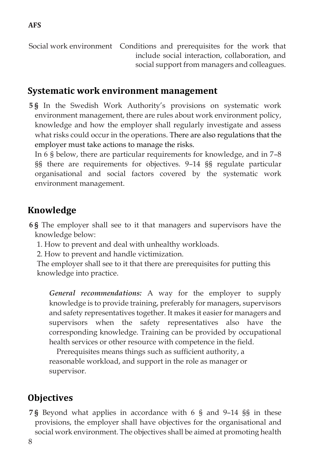Social work environment Conditions and prerequisites for the work that include social interaction, collaboration, and social support from managers and colleagues.

#### <span id="page-7-0"></span>**Systematic work environment management**

**5 §** In the Swedish Work Authority's provisions on systematic work environment management, there are rules about work environment policy, knowledge and how the employer shall regularly investigate and assess what risks could occur in the operations. There are also regulations that the employer must take actions to manage the risks.

In 6 § below, there are particular requirements for knowledge, and in 7–8 §§ there are requirements for objectives. 9–14 §§ regulate particular organisational and social factors covered by the systematic work environment management.

#### <span id="page-7-1"></span>**Knowledge**

- **6 §** The employer shall see to it that managers and supervisors have the knowledge below:
	- 1. How to prevent and deal with unhealthy workloads.
	- 2. How to prevent and handle victimization.
	- The employer shall see to it that there are prerequisites for putting this knowledge into practice.

*General recommendations:* A way for the employer to supply knowledge is to provide training, preferably for managers, supervisors and safety representatives together. It makes it easier for managers and supervisors when the safety representatives also have the corresponding knowledge. Training can be provided by occupational health services or other resource with competence in the field.

Prerequisites means things such as sufficient authority, a reasonable workload, and support in the role as manager or supervisor.

## <span id="page-7-2"></span>**Objectives**

**7 §** Beyond what applies in accordance with 6 § and 9–14 §§ in these provisions, the employer shall have objectives for the organisational and social work environment. The objectives shall be aimed at promoting health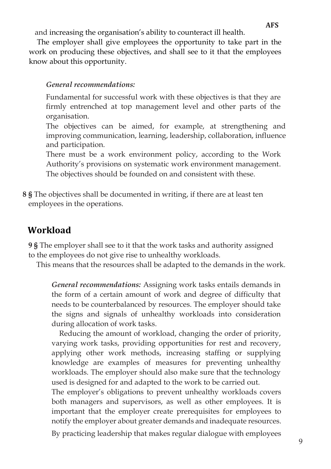and increasing the organisation's ability to counteract ill health.

The employer shall give employees the opportunity to take part in the work on producing these objectives, and shall see to it that the employees know about this opportunity.

#### *General recommendations:*

Fundamental for successful work with these objectives is that they are firmly entrenched at top management level and other parts of the organisation.

The objectives can be aimed, for example, at strengthening and improving communication, learning, leadership, collaboration, influence and participation.

There must be a work environment policy, according to the Work Authority's provisions on systematic work environment management. The objectives should be founded on and consistent with these.

**8 §** The objectives shall be documented in writing, if there are at least ten employees in the operations.

#### <span id="page-8-0"></span>**Workload**

**9 §** The employer shall see to it that the work tasks and authority assigned to the employees do not give rise to unhealthy workloads.

This means that the resources shall be adapted to the demands in the work.

*General recommendations:* Assigning work tasks entails demands in the form of a certain amount of work and degree of difficulty that needs to be counterbalanced by resources. The employer should take the signs and signals of unhealthy workloads into consideration during allocation of work tasks.

Reducing the amount of workload, changing the order of priority, varying work tasks, providing opportunities for rest and recovery, applying other work methods, increasing staffing or supplying knowledge are examples of measures for preventing unhealthy workloads. The employer should also make sure that the technology used is designed for and adapted to the work to be carried out.

The employer's obligations to prevent unhealthy workloads covers both managers and supervisors, as well as other employees. It is important that the employer create prerequisites for employees to notify the employer about greater demands and inadequate resources.

By practicing leadership that makes regular dialogue with employees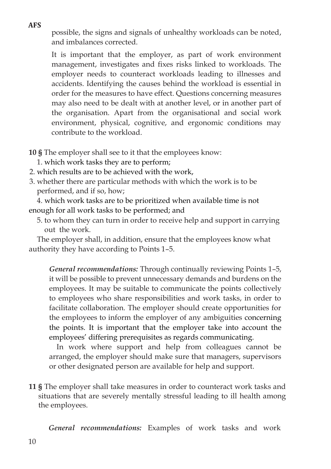**AFS** 

**2015:4** possible, the signs and signals of unhealthy workloads can be noted, and imbalances corrected.

It is important that the employer, as part of work environment management, investigates and fixes risks linked to workloads. The employer needs to counteract workloads leading to illnesses and accidents. Identifying the causes behind the workload is essential in order for the measures to have effect. Questions concerning measures may also need to be dealt with at another level, or in another part of the organisation. Apart from the organisational and social work environment, physical, cognitive, and ergonomic conditions may contribute to the workload.

**10 §** The employer shall see to it that the employees know:

- 1. which work tasks they are to perform;
- 2. which results are to be achieved with the work,
- 3. whether there are particular methods with which the work is to be performed, and if so, how;

4. which work tasks are to be prioritized when available time is not enough for all work tasks to be performed; and

5. to whom they can turn in order to receive help and support in carrying out the work.

The employer shall, in addition, ensure that the employees know what authority they have according to Points 1–5.

*General recommendations:* Through continually reviewing Points 1–5, it will be possible to prevent unnecessary demands and burdens on the employees. It may be suitable to communicate the points collectively to employees who share responsibilities and work tasks, in order to facilitate collaboration. The employer should create opportunities for the employees to inform the employer of any ambiguities concerning the points. It is important that the employer take into account the employees' differing prerequisites as regards communicating.

In work where support and help from colleagues cannot be arranged, the employer should make sure that managers, supervisors or other designated person are available for help and support.

**11 §** The employer shall take measures in order to counteract work tasks and situations that are severely mentally stressful leading to ill health among the employees.

*General recommendations:* Examples of work tasks and work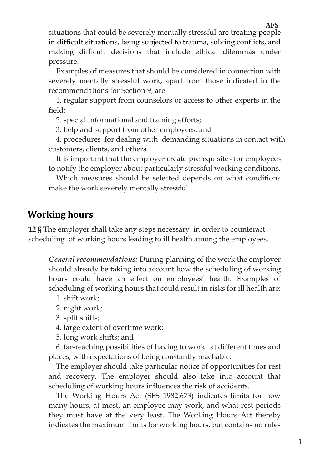**2015:4** situations that could be severely mentally stressful are treating people in difficult situations, being subjected to trauma, solving conflicts, and making difficult decisions that include ethical dilemmas under pressure.

Examples of measures that should be considered in connection with severely mentally stressful work, apart from those indicated in the recommendations for Section 9, are:

1. regular support from counselors or access to other experts in the field;

2. special informational and training efforts;

3. help and support from other employees; and

4. procedures for dealing with demanding situations in contact with customers, clients, and others.

It is important that the employer create prerequisites for employees to notify the employer about particularly stressful working conditions.

Which measures should be selected depends on what conditions make the work severely mentally stressful.

#### <span id="page-10-0"></span>**Working hours**

**12 §** The employer shall take any steps necessary in order to counteract scheduling of working hours leading to ill health among the employees.

*General recommendations:* During planning of the work the employer should already be taking into account how the scheduling of working hours could have an effect on employees' health. Examples of scheduling of working hours that could result in risks for ill health are:

- 1. shift work;
- 2. night work;
- 3. split shifts;
- 4. large extent of overtime work;
- 5. long work shifts; and

6. far-reaching possibilities of having to work at different times and places, with expectations of being constantly reachable.

The employer should take particular notice of opportunities for rest and recovery. The employer should also take into account that scheduling of working hours influences the risk of accidents.

The Working Hours Act (SFS 1982:673) indicates limits for how many hours, at most, an employee may work, and what rest periods they must have at the very least. The Working Hours Act thereby indicates the maximum limits for working hours, but contains no rules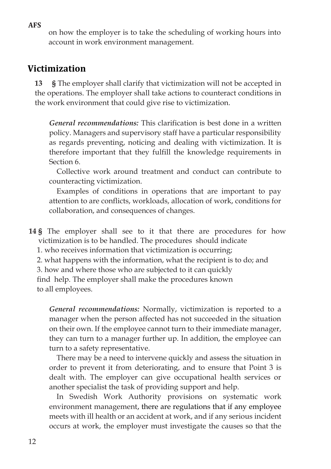**AFS** 

**2015:4** on how the employer is to take the scheduling of working hours into account in work environment management.

#### <span id="page-11-0"></span>**Victimization**

**13 §** The employer shall clarify that victimization will not be accepted in the operations. The employer shall take actions to counteract conditions in the work environment that could give rise to victimization.

*General recommendations:* This clarification is best done in a written policy. Managers and supervisory staff have a particular responsibility as regards preventing, noticing and dealing with victimization. It is therefore important that they fulfill the knowledge requirements in Section 6.

Collective work around treatment and conduct can contribute to counteracting victimization.

Examples of conditions in operations that are important to pay attention to are conflicts, workloads, allocation of work, conditions for collaboration, and consequences of changes.

**14 §** The employer shall see to it that there are procedures for how victimization is to be handled. The procedures should indicate

- 1. who receives information that victimization is occurring;
- 2. what happens with the information, what the recipient is to do; and

3. how and where those who are subjected to it can quickly

find help. The employer shall make the procedures known to all employees.

*General recommendations:* Normally, victimization is reported to a manager when the person affected has not succeeded in the situation on their own. If the employee cannot turn to their immediate manager, they can turn to a manager further up. In addition, the employee can turn to a safety representative.

There may be a need to intervene quickly and assess the situation in order to prevent it from deteriorating, and to ensure that Point 3 is dealt with. The employer can give occupational health services or another specialist the task of providing support and help.

In Swedish Work Authority provisions on systematic work environment management, there are regulations that if any employee meets with ill health or an accident at work, and if any serious incident occurs at work, the employer must investigate the causes so that the